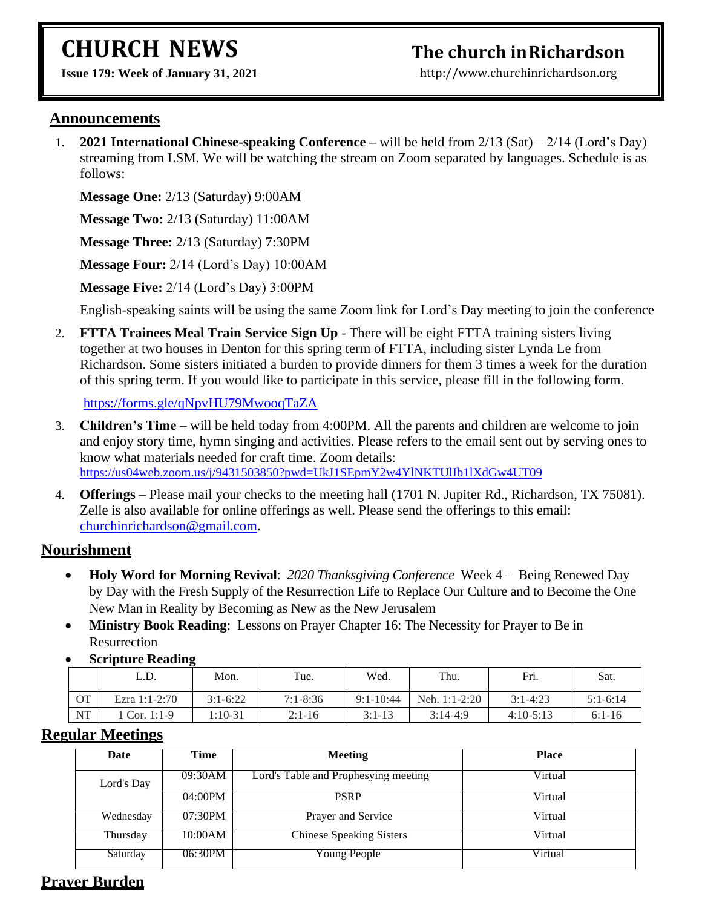# **CHURCH NEWS**

## **The church inRichardson**

**Issue 179: Week of January 31, 2021** 

[http://www.churchinrichardson.org](http://www.churchinrichardson.org/)

#### **Announcements**

1. **2021 International Chinese-speaking Conference –** will be held from 2/13 (Sat) – 2/14 (Lord's Day) streaming from LSM. We will be watching the stream on Zoom separated by languages. Schedule is as follows:

**Message One:** 2/13 (Saturday) 9:00AM

**Message Two:** 2/13 (Saturday) 11:00AM

**Message Three:** 2/13 (Saturday) 7:30PM

**Message Four:** 2/14 (Lord's Day) 10:00AM

**Message Five:** 2/14 (Lord's Day) 3:00PM

English-speaking saints will be using the same Zoom link for Lord's Day meeting to join the conference

2. **FTTA Trainees Meal Train Service Sign Up** - There will be eight FTTA training sisters living together at two houses in Denton for this spring term of FTTA, including sister Lynda Le from Richardson. Some sisters initiated a burden to provide dinners for them 3 times a week for the duration of this spring term. If you would like to participate in this service, please fill in the following form.

<https://forms.gle/qNpvHU79MwooqTaZA>

- 3. **Children's Time** will be held today from 4:00PM. All the parents and children are welcome to join and enjoy story time, hymn singing and activities. Please refers to the email sent out by serving ones to know what materials needed for craft time. Zoom details: <https://us04web.zoom.us/j/9431503850?pwd=UkJ1SEpmY2w4YlNKTUlIb1lXdGw4UT09>
- 4. **Offerings** Please mail your checks to the meeting hall (1701 N. Jupiter Rd., Richardson, TX 75081). Zelle is also available for online offerings as well. Please send the offerings to this email: [churchinrichardson@gmail.com.](mailto:churchinrichardson@gmail.com)

#### **Nourishment**

- **Holy Word for Morning Revival**: *2020 Thanksgiving Conference* Week 4 Being Renewed Day by Day with the Fresh Supply of the Resurrection Life to Replace Our Culture and to Become the One New Man in Reality by Becoming as New as the New Jerusalem
- **Ministry Book Reading:** Lessons on Prayer Chapter 16: The Necessity for Prayer to Be in **Resurrection**
- **Scripture Reading**

|           | L.D.          | Mon.       | Tue.         | Wed.          | Thu.          | Fri.         | Sat.       |
|-----------|---------------|------------|--------------|---------------|---------------|--------------|------------|
| <b>OT</b> | Ezra 1:1-2:70 | $3:1-6:22$ | $7:1 - 8:36$ | $9:1 - 10:44$ | Neh. 1:1-2:20 | $3:1 - 4:23$ | $5:1-6:14$ |
| NT        | Cor. 1:1-9    | l:10-31    | $2:1 - 16$   | $3:1-13$      | $3:14-4:9$    | $4:10-5:13$  | $6:1-16$   |

#### **Regular Meetings**

| Date       | Time    | <b>Meeting</b>                       | <b>Place</b> |
|------------|---------|--------------------------------------|--------------|
| Lord's Day | 09:30AM | Lord's Table and Prophesying meeting | Virtual      |
|            | 04:00PM | <b>PSRP</b>                          | Virtual      |
| Wednesday  | 07:30PM | <b>Prayer and Service</b>            | Virtual      |
| Thursday   | 10:00AM | <b>Chinese Speaking Sisters</b>      | Virtual      |
| Saturday   | 06:30PM | Young People                         | Virtual      |

### **Prayer Burden**